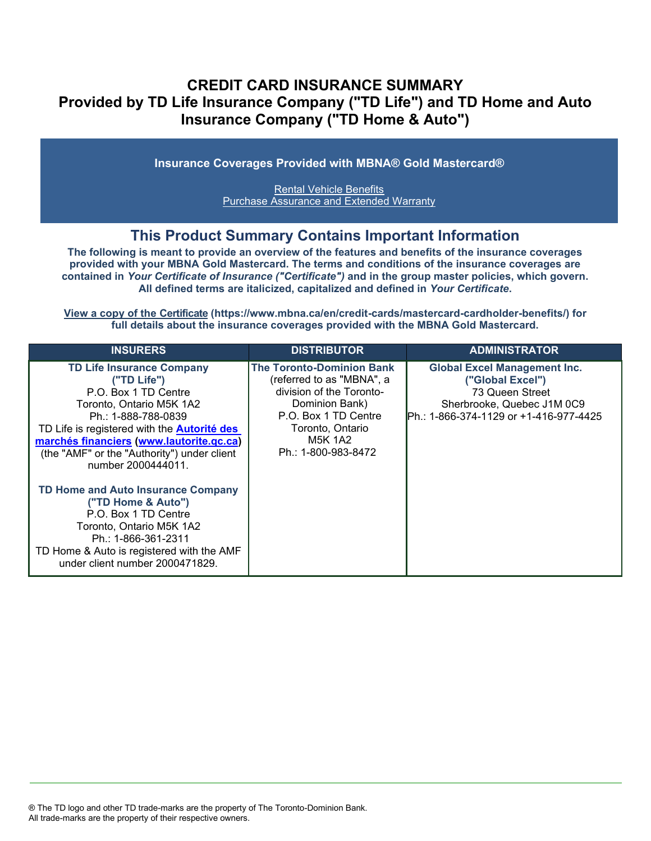# **CREDIT CARD INSURANCE SUMMARY Provided by TD Life Insurance Company ("TD Life") and TD Home and Auto Insurance Company ("TD Home & Auto")**

**Insurance Coverages Provided with MBNA® Gold Mastercard®**

[Rental Vehicle Benefits](#page-3-0) [Purchase Assurance and Extended Warranty](#page-5-0)

# **This Product Summary Contains Important Information**

**The following is meant to provide an overview of the features and benefits of the insurance coverages provided with your MBNA Gold Mastercard. The terms and conditions of the insurance coverages are contained in** *Your Certificate of Insurance ("Certificate")* **and in the group master policies, which govern. All defined terms are italicized, capit[alized and defined in](https://www.mbna.ca/en/credit-cards/mastercard-cardholder-benefits/)** *Your Certificate***.**

**[View a copy of the Certificate](https://www.mbna.ca/en/credit-cards/mastercard-cardholder-benefits/) (https://www.mbna.ca/en/credit-cards/mastercard-cardholder-benefits/) for full details about the insurance coverages provided with the MBNA Gold Mastercard.** 

| <b>INSURERS</b>                                                                                                                                                                                                                                                                                                                                                      | <b>DISTRIBUTOR</b>                                                                                                                                                                        | <b>ADMINISTRATOR</b>                                                                                                                                |
|----------------------------------------------------------------------------------------------------------------------------------------------------------------------------------------------------------------------------------------------------------------------------------------------------------------------------------------------------------------------|-------------------------------------------------------------------------------------------------------------------------------------------------------------------------------------------|-----------------------------------------------------------------------------------------------------------------------------------------------------|
| <b>TD Life Insurance Company</b><br>("TD Life")<br>P.O. Box 1 TD Centre<br>Toronto, Ontario M5K 1A2<br>Ph.: 1-888-788-0839<br>TD Life is registered with the <b>Autorité des</b><br>marchés financiers (www.lautorite.qc.ca)<br>(the "AMF" or the "Authority") under client<br>number 2000444011.<br><b>TD Home and Auto Insurance Company</b><br>("TD Home & Auto") | <b>The Toronto-Dominion Bank</b><br>(referred to as "MBNA", a<br>division of the Toronto-<br>Dominion Bank)<br>P.O. Box 1 TD Centre<br>Toronto, Ontario<br>M5K 1A2<br>Ph.: 1-800-983-8472 | <b>Global Excel Management Inc.</b><br>("Global Excel")<br>73 Queen Street<br>Sherbrooke, Quebec J1M 0C9<br>IPh.: 1-866-374-1129 or +1-416-977-4425 |
| P.O. Box 1 TD Centre<br>Toronto, Ontario M5K 1A2<br>Ph.: 1-866-361-2311<br>TD Home & Auto is registered with the AMF<br>under client number 2000471829.                                                                                                                                                                                                              |                                                                                                                                                                                           |                                                                                                                                                     |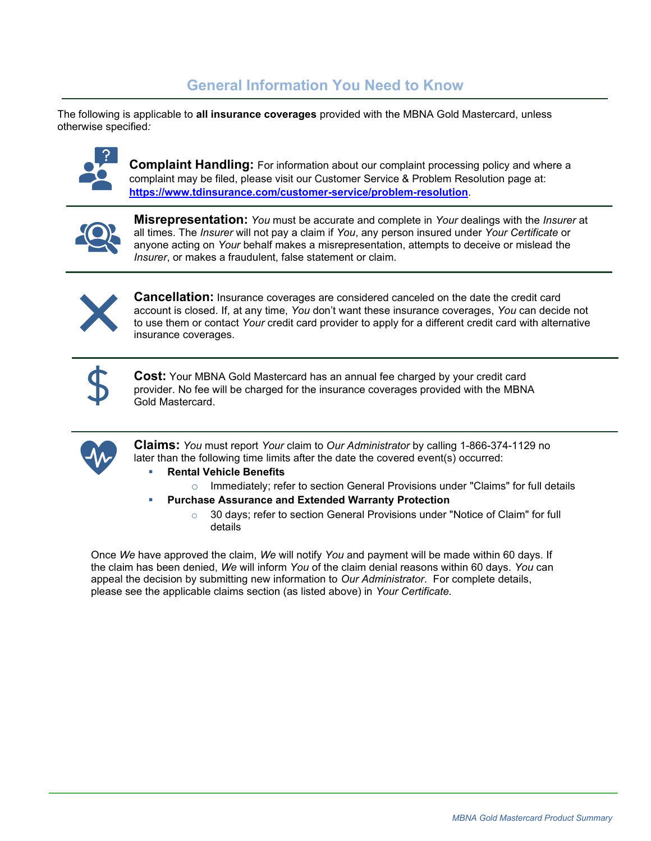# **General Information You Need to Know**

The following is applicable to **all insurance coverages** provided with the MBNA Gold Mastercard, unless otherwise specified*:*



**Complaint Handling:** For information about our complaint processing policy and where a complaint may be filed, please visit our Customer Service & Problem Resolution page at: **<https://www.tdinsurance.com/customer-service/problem-resolution>**.



**Misrepresentation:** *You* must be accurate and complete in *Your* dealings with the *Insurer* at all times. The *Insurer* will not pay a claim if *You*, any person insured under *Your Certificate* or anyone acting on *Your* behalf makes a misrepresentation, attempts to deceive or mislead the *Insurer*, or makes a fraudulent, false statement or claim.



**Cancellation:** Insurance coverages are considered canceled on the date the credit card account is closed. If, at any time, *You* don't want these insurance coverages, *You* can decide not to use them or contact *Your* credit card provider to apply for a different credit card with alternative insurance coverages.



**Cost:** Your MBNA Gold Mastercard has an annual fee charged by your credit card provider. No fee will be charged for the insurance coverages provided with the MBNA Gold Mastercard.



**Claims:** *You* must report *Your* claim to *Our Administrator* by calling 1-866-374-1129 no later than the following time limits after the date the covered event(s) occurred:

- **Rental Vehicle Benefits**
- o Immediately; refer to section General Provisions under "Claims" for full details
- **Purchase Assurance and Extended Warranty Protection**
	- o 30 days; refer to section General Provisions under "Notice of Claim" for full details

Once *We* have approved the claim, *We* will notify *You* and payment will be made within 60 days. If the claim has been denied, *We* will inform *You* of the claim denial reasons within 60 days. *You* can appeal the decision by submitting new information to *Our Administrator*. For complete details, please see the applicable claims section (as listed above) in *Your Certificate.*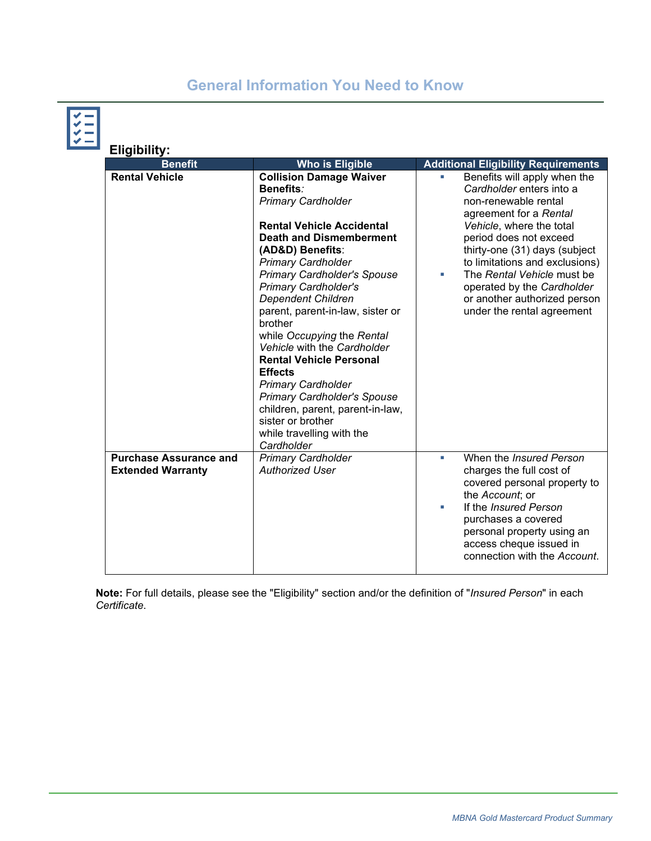# **General Information You Need to Know**



| <b>Eligibility:</b>                                       |                                                                                                                                                                                                                                                                                                                                                                                                                                                                                                                                                                                                                                          |        |                                                                                                                                                                                                                                                                                                                                                               |  |  |  |
|-----------------------------------------------------------|------------------------------------------------------------------------------------------------------------------------------------------------------------------------------------------------------------------------------------------------------------------------------------------------------------------------------------------------------------------------------------------------------------------------------------------------------------------------------------------------------------------------------------------------------------------------------------------------------------------------------------------|--------|---------------------------------------------------------------------------------------------------------------------------------------------------------------------------------------------------------------------------------------------------------------------------------------------------------------------------------------------------------------|--|--|--|
| <b>Benefit</b>                                            | <b>Who is Eligible</b>                                                                                                                                                                                                                                                                                                                                                                                                                                                                                                                                                                                                                   |        | <b>Additional Eligibility Requirements</b>                                                                                                                                                                                                                                                                                                                    |  |  |  |
| <b>Rental Vehicle</b>                                     | <b>Collision Damage Waiver</b><br>Benefits:<br><b>Primary Cardholder</b><br><b>Rental Vehicle Accidental</b><br><b>Death and Dismemberment</b><br>(AD&D) Benefits:<br><b>Primary Cardholder</b><br><b>Primary Cardholder's Spouse</b><br><b>Primary Cardholder's</b><br><b>Dependent Children</b><br>parent, parent-in-law, sister or<br>brother<br>while Occupying the Rental<br>Vehicle with the Cardholder<br><b>Rental Vehicle Personal</b><br><b>Effects</b><br><b>Primary Cardholder</b><br><b>Primary Cardholder's Spouse</b><br>children, parent, parent-in-law,<br>sister or brother<br>while travelling with the<br>Cardholder | ×      | Benefits will apply when the<br>Cardholder enters into a<br>non-renewable rental<br>agreement for a Rental<br>Vehicle, where the total<br>period does not exceed<br>thirty-one (31) days (subject<br>to limitations and exclusions)<br>The Rental Vehicle must be<br>operated by the Cardholder<br>or another authorized person<br>under the rental agreement |  |  |  |
| <b>Purchase Assurance and</b><br><b>Extended Warranty</b> | <b>Primary Cardholder</b><br><b>Authorized User</b>                                                                                                                                                                                                                                                                                                                                                                                                                                                                                                                                                                                      | п<br>× | When the Insured Person<br>charges the full cost of<br>covered personal property to<br>the Account; or<br>If the Insured Person<br>purchases a covered<br>personal property using an<br>access cheque issued in<br>connection with the Account.                                                                                                               |  |  |  |

**Note:** For full details, please see the "Eligibility" section and/or the definition of "*Insured Person*" in each *Certificate*.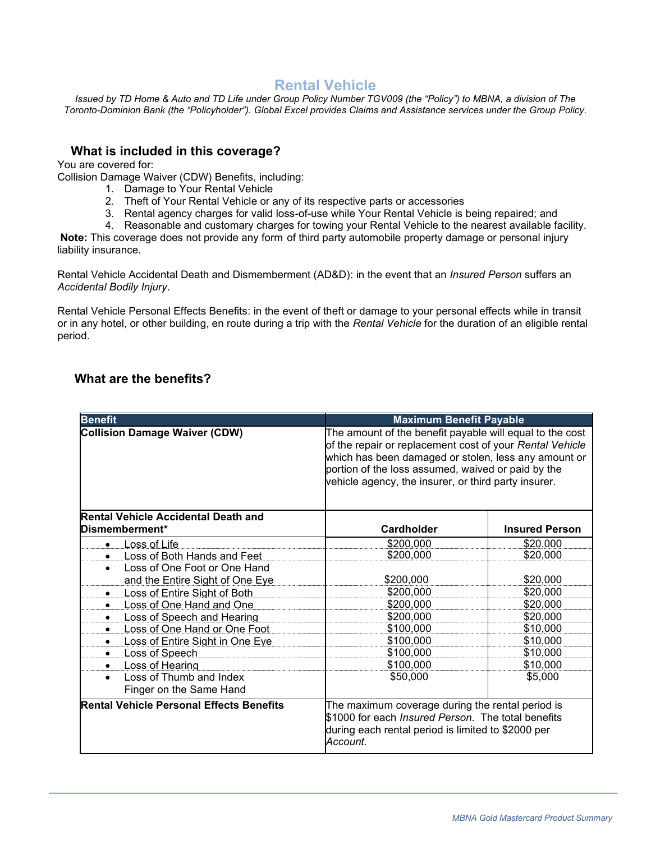# **Rental Vehicle**

<span id="page-3-0"></span>*Issued by TD Home & Auto and TD Life under Group Policy Number TGV009 (the "Policy") to MBNA, a division of The Toronto-Dominion Bank (the "Policyholder"). Global Excel provides Claims and Assistance services under the Group Policy.*

## **What is included in this coverage?**

You are covered for:

Collision Damage Waiver (CDW) Benefits, including:

- 1. Damage to Your Rental Vehicle
- 2. Theft of Your Rental Vehicle or any of its respective parts or accessories
- 3. Rental agency charges for valid loss-of-use while Your Rental Vehicle is being repaired; and
- 4. Reasonable and customary charges for towing your Rental Vehicle to the nearest available facility.

**Note:** This coverage does not provide any form of third party automobile property damage or personal injury liability insurance.

Rental Vehicle Accidental Death and Dismemberment (AD&D): in the event that an *Insured Person* suffers an *Accidental Bodily Injury*.

Rental Vehicle Personal Effects Benefits: in the event of theft or damage to your personal effects while in transit or in any hotel, or other building, en route during a trip with the *Rental Vehicle* for the duration of an eligible rental period.

## **What are the benefits?**

| <b>Benefit</b>                                               | <b>Maximum Benefit Payable</b>                                                                                                                                                                                                                                                             |                       |
|--------------------------------------------------------------|--------------------------------------------------------------------------------------------------------------------------------------------------------------------------------------------------------------------------------------------------------------------------------------------|-----------------------|
| <b>Collision Damage Waiver (CDW)</b>                         | The amount of the benefit payable will equal to the cost<br>of the repair or replacement cost of your Rental Vehicle<br>which has been damaged or stolen, less any amount or<br>portion of the loss assumed, waived or paid by the<br>vehicle agency, the insurer, or third party insurer. |                       |
| <b>Rental Vehicle Accidental Death and</b><br>Dismemberment* | Cardholder                                                                                                                                                                                                                                                                                 | <b>Insured Person</b> |
| Loss of Life<br>$\bullet$                                    | \$200,000                                                                                                                                                                                                                                                                                  | \$20,000              |
| <b>Loss of Both Hands and Feet</b><br>$\bullet$              | \$200,000                                                                                                                                                                                                                                                                                  | \$20,000              |
| Loss of One Foot or One Hand                                 |                                                                                                                                                                                                                                                                                            |                       |
| and the Entire Sight of One Eye                              | \$200,000                                                                                                                                                                                                                                                                                  | \$20,000              |
| Loss of Entire Sight of Both<br>$\bullet$                    | \$200,000                                                                                                                                                                                                                                                                                  | \$20,000              |
| Loss of One Hand and One                                     | \$200,000                                                                                                                                                                                                                                                                                  | \$20,000              |
| <b>Loss of Speech and Hearing</b><br>$\bullet$               | \$200,000                                                                                                                                                                                                                                                                                  | \$20,000              |
| Loss of One Hand or One Foot                                 | \$100,000                                                                                                                                                                                                                                                                                  | \$10,000              |
| Loss of Entire Sight in One Eye                              | \$100,000                                                                                                                                                                                                                                                                                  | \$10,000              |
| Loss of Speech<br>$\bullet$                                  | \$100,000                                                                                                                                                                                                                                                                                  | \$10,000              |
| <b>Loss of Hearing</b>                                       | \$100,000                                                                                                                                                                                                                                                                                  | \$10,000              |
| Loss of Thumb and Index<br>Finger on the Same Hand           | \$50,000                                                                                                                                                                                                                                                                                   | \$5,000               |
| <b>Rental Vehicle Personal Effects Benefits</b>              | The maximum coverage during the rental period is<br>\$1000 for each Insured Person. The total benefits<br>during each rental period is limited to \$2000 per<br>Account.                                                                                                                   |                       |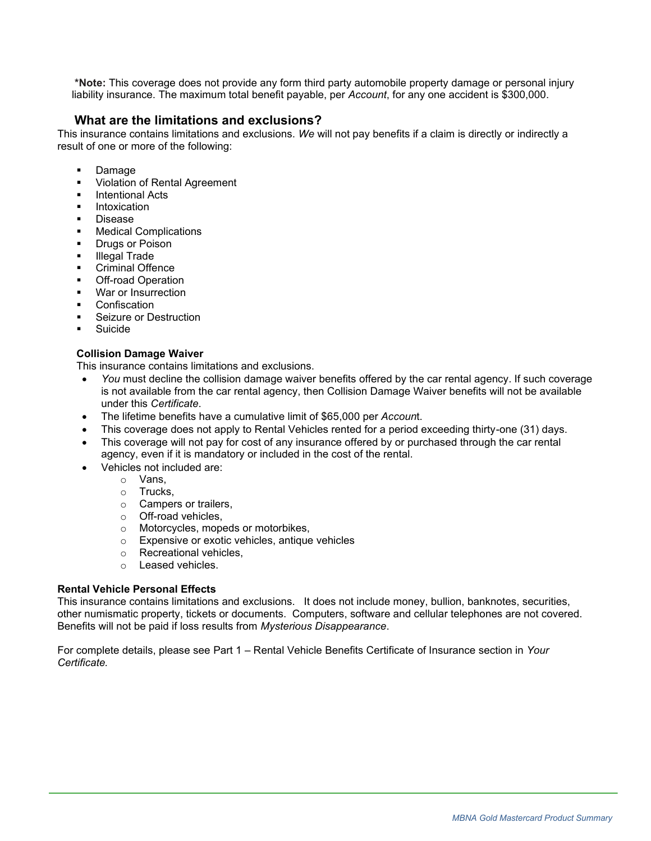**\*Note:** This coverage does not provide any form third party automobile property damage or personal injury liability insurance. The maximum total benefit payable, per *Account*, for any one accident is \$300,000.

## **What are the limitations and exclusions?**

This insurance contains limitations and exclusions. *We* will not pay benefits if a claim is directly or indirectly a result of one or more of the following:

- Damage
- Violation of Rental Agreement
- **Intentional Acts**
- **Intoxication**
- **Disease**
- **Medical Complications**
- **Drugs or Poison**
- **Illegal Trade**
- **Criminal Offence**
- **Off-road Operation**
- War or Insurrection
- Confiscation
- Seizure or Destruction
- **Suicide**

#### **Collision Damage Waiver**

This insurance contains limitations and exclusions.

- *You* must decline the collision damage waiver benefits offered by the car rental agency. If such coverage is not available from the car rental agency, then Collision Damage Waiver benefits will not be available under this *Certificate*.
- The lifetime benefits have a cumulative limit of \$65,000 per *Accoun*t.
- This coverage does not apply to Rental Vehicles rented for a period exceeding thirty-one (31) days.
- This coverage will not pay for cost of any insurance offered by or purchased through the car rental agency, even if it is mandatory or included in the cost of the rental.
- Vehicles not included are:
	- o Vans,
	- o Trucks,
	- o Campers or trailers,
	- o Off-road vehicles,
	- o Motorcycles, mopeds or motorbikes,
	- o Expensive or exotic vehicles, antique vehicles
	- o Recreational vehicles,
	- o Leased vehicles.

#### **Rental Vehicle Personal Effects**

This insurance contains limitations and exclusions. It does not include money, bullion, banknotes, securities, other numismatic property, tickets or documents. Computers, software and cellular telephones are not covered. Benefits will not be paid if loss results from *Mysterious Disappearance*.

For complete details, please see Part 1 – Rental Vehicle Benefits Certificate of Insurance section in *Your Certificate.*